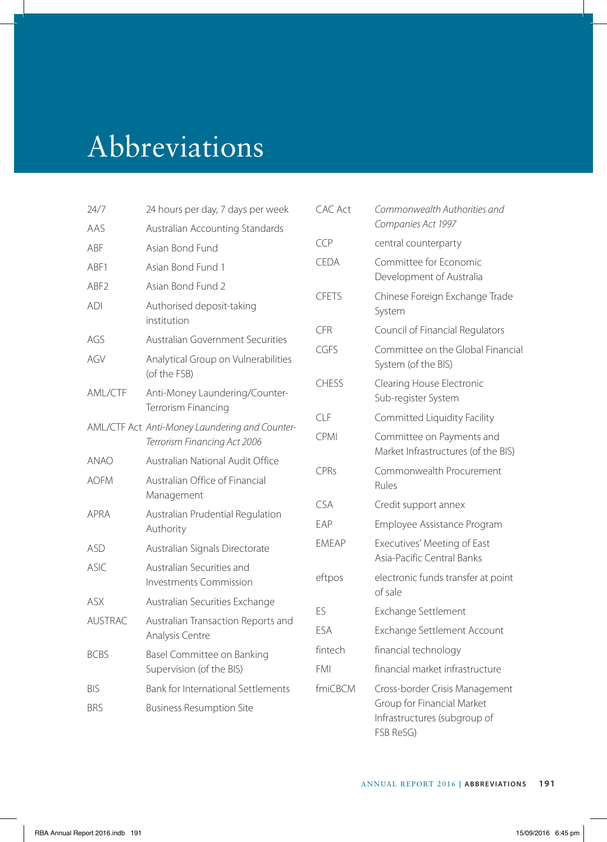## Abbreviations

| 24/7             | 24 hours per day, 7 days per week                          | C/        |
|------------------|------------------------------------------------------------|-----------|
| AAS              | Australian Accounting Standards                            |           |
| ABF              | Asian Bond Fund                                            | CC        |
| ABF1             | Asian Bond Fund 1                                          | <b>CE</b> |
| ABF <sub>2</sub> | Asian Bond Fund 2                                          | CF        |
| ADI              | Authorised deposit-taking<br>institution                   | CF        |
| AGS              | <b>Australian Government Securities</b>                    | CC        |
| AGV              | Analytical Group on Vulnerabilities<br>(of the FSB)        |           |
| AML/CTF          | Anti-Money Laundering/Counter-<br>Terrorism Financing      | $\subset$ |
|                  | AML/CTF Act Anti-Money Laundering and Counter-             | CL        |
|                  | Terrorism Financing Act 2006                               | CF        |
| anao             | Australian National Audit Office                           | CF        |
| <b>AOFM</b>      | Australian Office of Financial<br>Management               |           |
| APRA             | Australian Prudential Regulation                           | CS<br>FΑ  |
|                  | Authority                                                  | EΝ        |
| ASD              | Australian Signals Directorate                             |           |
| ASIC.            | Australian Securities and<br><b>Investments Commission</b> | eft       |
| <b>ASX</b>       | Australian Securities Exchange                             | FS        |
| <b>AUSTRAC</b>   | Australian Transaction Reports and<br>Analysis Centre      | FS        |
| <b>BCBS</b>      | Basel Committee on Banking<br>Supervision (of the BIS)     | fin<br>FN |
| <b>BIS</b>       | Bank for International Settlements                         | fm        |
| <b>BRS</b>       | <b>Business Resumption Site</b>                            |           |
|                  |                                                            |           |

| CAC Act      | Commonwealth Authorities and<br>Companies Act 1997                                                        |
|--------------|-----------------------------------------------------------------------------------------------------------|
| CCP          | central counterparty                                                                                      |
| CEDA         | Committee for Economic<br>Development of Australia                                                        |
| CFETS        | Chinese Foreign Exchange Trade<br>System                                                                  |
| CFR          | Council of Financial Regulators                                                                           |
| CGES         | Committee on the Global Financial<br>System (of the BIS)                                                  |
| <b>CHESS</b> | Clearing House Electronic<br>Sub-register System                                                          |
| CLF          | Committed Liquidity Facility                                                                              |
| CPMI         | Committee on Payments and<br>Market Infrastructures (of the BIS)                                          |
| <b>CPRs</b>  | Commonwealth Procurement<br>Rules                                                                         |
| <b>CSA</b>   | Credit support annex                                                                                      |
| FAP          | Employee Assistance Program                                                                               |
| <b>FMFAP</b> | Executives' Meeting of East<br>Asia-Pacific Central Banks                                                 |
| eftpos       | electronic funds transfer at point<br>of sale                                                             |
| ES           | Exchange Settlement                                                                                       |
| ESA          | Exchange Settlement Account                                                                               |
| fintech      | financial technology                                                                                      |
| FMI          | financial market infrastructure                                                                           |
| fmiCBCM      | Cross-border Crisis Management<br>Group for Financial Market<br>Infrastructures (subgroup of<br>FSB ReSG) |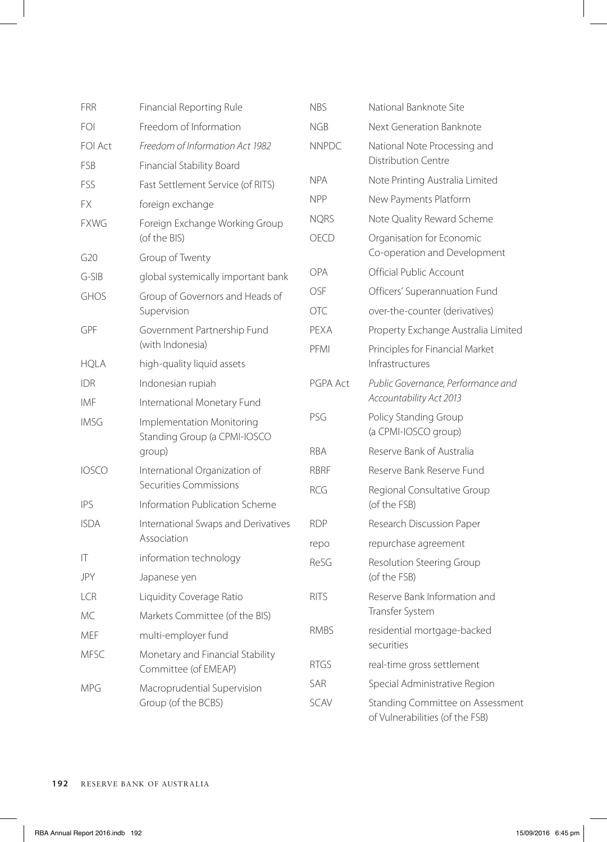| <b>FRR</b>      | Financial Reporting Rule                                            | <b>NBS</b>   | National Banknote Site                                              |
|-----------------|---------------------------------------------------------------------|--------------|---------------------------------------------------------------------|
| FOI             | Freedom of Information                                              | <b>NGB</b>   | Next Generation Banknote                                            |
| <b>FOI Act</b>  | Freedom of Information Act 1982                                     | <b>NNPDC</b> | National Note Processing and<br><b>Distribution Centre</b>          |
| FSB             | Financial Stability Board                                           |              |                                                                     |
| FSS             | Fast Settlement Service (of RITS)                                   | <b>NPA</b>   | Note Printing Australia Limited                                     |
| FX.             | foreign exchange                                                    | <b>NPP</b>   | New Payments Platform                                               |
| <b>FXWG</b>     | Foreign Exchange Working Group                                      | <b>NQRS</b>  | Note Quality Reward Scheme                                          |
|                 | (of the BIS)                                                        | OECD         | Organisation for Economic                                           |
| G <sub>20</sub> | Group of Twenty                                                     |              | Co-operation and Development                                        |
| $G-SIB$         | global systemically important bank                                  | OPA          | Official Public Account                                             |
| GHOS            | Group of Governors and Heads of                                     | <b>OSF</b>   | Officers' Superannuation Fund                                       |
|                 | Supervision                                                         | <b>OTC</b>   | over-the-counter (derivatives)                                      |
| GPF             | Government Partnership Fund                                         | PEXA         | Property Exchange Australia Limited                                 |
| <b>HQLA</b>     | (with Indonesia)<br>high-quality liquid assets                      | PFMI         | Principles for Financial Market<br>Infrastructures                  |
| <b>IDR</b>      | Indonesian rupiah                                                   | PGPA Act     | Public Governance, Performance and                                  |
| IMF             | International Monetary Fund                                         |              | Accountability Act 2013                                             |
| <b>IMSG</b>     | Implementation Monitoring<br>Standing Group (a CPMI-IOSCO<br>group) | PSG          | Policy Standing Group<br>(a CPMI-IOSCO group)                       |
|                 |                                                                     | <b>RBA</b>   | Reserve Bank of Australia                                           |
| <b>IOSCO</b>    | International Organization of                                       | RBRF         | Reserve Bank Reserve Fund                                           |
|                 | Securities Commissions                                              | <b>RCG</b>   | Regional Consultative Group<br>(of the FSB)                         |
| <b>IPS</b>      | Information Publication Scheme                                      |              |                                                                     |
| <b>ISDA</b>     | International Swaps and Derivatives<br>Association                  | <b>RDP</b>   | Research Discussion Paper                                           |
|                 |                                                                     | repo         | repurchase agreement                                                |
| IT              | information technology                                              | ReSG         | Resolution Steering Group                                           |
| JPY             | Japanese yen                                                        |              | (of the FSB)                                                        |
| <b>LCR</b>      | Liquidity Coverage Ratio                                            | <b>RITS</b>  | Reserve Bank Information and                                        |
| МC              | Markets Committee (of the BIS)                                      |              | Transfer System                                                     |
| MEF             | multi-employer fund                                                 | <b>RMBS</b>  | residential mortgage-backed<br>securities                           |
| MFSC            | Monetary and Financial Stability<br>Committee (of EMEAP)            | <b>RTGS</b>  | real-time gross settlement                                          |
| <b>MPG</b>      | Macroprudential Supervision                                         | SAR          | Special Administrative Region                                       |
|                 | Group (of the BCBS)                                                 | SCAV         | Standing Committee on Assessment<br>of Vulnerabilities (of the FSB) |